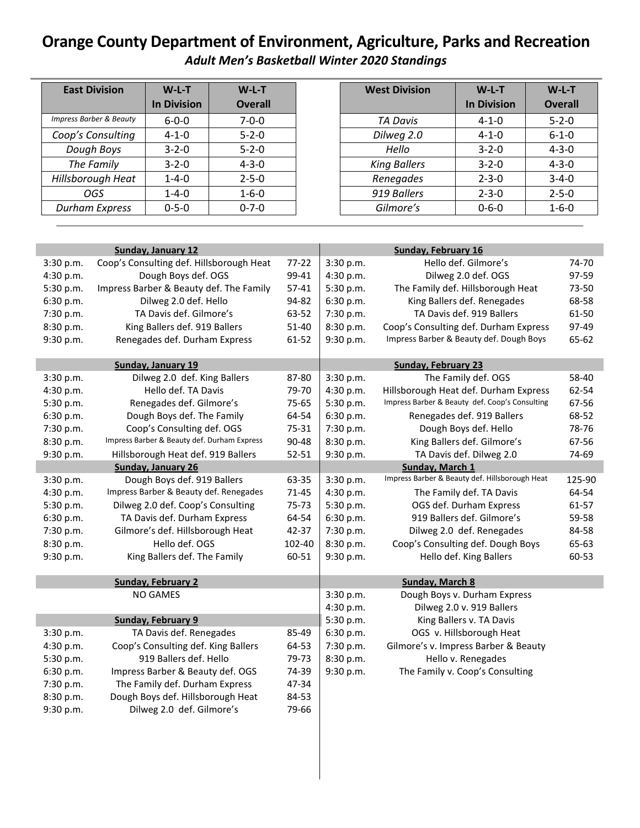## **Orange County Department of Environment, Agriculture, Parks and Recreation** *Adult Men's Basketball Winter 2020 Standings*

| <b>East Division</b>               | $W-L-T$            | $W-L-T$        |
|------------------------------------|--------------------|----------------|
|                                    | <b>In Division</b> | <b>Overall</b> |
| <b>Impress Barber &amp; Beauty</b> | $6 - 0 - 0$        | $7 - 0 - 0$    |
| Coop's Consulting                  | $4 - 1 - 0$        | $5 - 2 - 0$    |
| Dough Boys                         | $3 - 2 - 0$        | $5 - 2 - 0$    |
| The Family                         | $3 - 2 - 0$        | $4 - 3 - 0$    |
| Hillsborough Heat                  | $1 - 4 - 0$        | $2 - 5 - 0$    |
| OGS                                | $1 - 4 - 0$        | $1 - 6 - 0$    |
| <b>Durham Express</b>              | $0 - 5 - 0$        | $0 - 7 - 0$    |

| <b>West Division</b> | $W-L-T$<br><b>In Division</b> | $W-L-T$<br><b>Overall</b> |  |
|----------------------|-------------------------------|---------------------------|--|
| TA Davis             | $4 - 1 - 0$                   | $5 - 2 - 0$               |  |
| Dilweg 2.0           | $4 - 1 - 0$                   | $6 - 1 - 0$               |  |
| Hello                | $3 - 2 - 0$                   | $4 - 3 - 0$               |  |
| <b>King Ballers</b>  | $3 - 2 - 0$                   | $4 - 3 - 0$               |  |
| Renegades            | $2 - 3 - 0$                   | $3 - 4 - 0$               |  |
| 919 Ballers          | $2 - 3 - 0$                   | $2 - 5 - 0$               |  |
| Gilmore's            | $0 - 6 - 0$                   | $1 - 6 - 0$               |  |

|           | <b>Sunday, January 12</b>                   |           |           | Sunday, February 16                            |        |  |
|-----------|---------------------------------------------|-----------|-----------|------------------------------------------------|--------|--|
| 3:30 p.m. | Coop's Consulting def. Hillsborough Heat    | $77-22$   | 3:30 p.m. | Hello def. Gilmore's                           | 74-70  |  |
| 4:30 p.m. | Dough Boys def. OGS                         | 99-41     | 4:30 p.m. | Dilweg 2.0 def. OGS                            | 97-59  |  |
| 5:30 p.m. | Impress Barber & Beauty def. The Family     | $57 - 41$ | 5:30 p.m. | The Family def. Hillsborough Heat              | 73-50  |  |
| 6:30 p.m. | Dilweg 2.0 def. Hello                       | 94-82     | 6:30 p.m. | King Ballers def. Renegades                    | 68-58  |  |
| 7:30 p.m. | TA Davis def. Gilmore's                     | 63-52     | 7:30 p.m. | TA Davis def. 919 Ballers                      | 61-50  |  |
| 8:30 p.m. | King Ballers def. 919 Ballers               | 51-40     | 8:30 p.m. | Coop's Consulting def. Durham Express          | 97-49  |  |
| 9:30 p.m. | Renegades def. Durham Express               | 61-52     | 9:30 p.m. | Impress Barber & Beauty def. Dough Boys        | 65-62  |  |
|           |                                             |           |           |                                                |        |  |
|           | Sunday, January 19                          |           |           | <b>Sunday, February 23</b>                     |        |  |
| 3:30 p.m. | Dilweg 2.0 def. King Ballers                | 87-80     | 3:30 p.m. | The Family def. OGS                            | 58-40  |  |
| 4:30 p.m. | Hello def. TA Davis                         | 79-70     | 4:30 p.m. | Hillsborough Heat def. Durham Express          | 62-54  |  |
| 5:30 p.m. | Renegades def. Gilmore's                    | 75-65     | 5:30 p.m. | Impress Barber & Beauty def. Coop's Consulting | 67-56  |  |
| 6:30 p.m. | Dough Boys def. The Family                  | 64-54     | 6:30 p.m. | Renegades def. 919 Ballers                     | 68-52  |  |
| 7:30 p.m. | Coop's Consulting def. OGS                  | 75-31     | 7:30 p.m. | Dough Boys def. Hello                          | 78-76  |  |
| 8:30 p.m. | Impress Barber & Beauty def. Durham Express | 90-48     | 8:30 p.m. | King Ballers def. Gilmore's                    | 67-56  |  |
| 9:30 p.m. | Hillsborough Heat def. 919 Ballers          | $52 - 51$ | 9:30 p.m. | TA Davis def. Dilweg 2.0                       | 74-69  |  |
|           | <b>Sunday, January 26</b>                   |           |           | Sunday, March 1                                |        |  |
| 3:30 p.m. | Dough Boys def. 919 Ballers                 | 63-35     | 3:30 p.m. | Impress Barber & Beauty def. Hillsborough Heat | 125-90 |  |
| 4:30 p.m. | Impress Barber & Beauty def. Renegades      | 71-45     | 4:30 p.m. | The Family def. TA Davis                       | 64-54  |  |
| 5:30 p.m. | Dilweg 2.0 def. Coop's Consulting           | 75-73     | 5:30 p.m. | OGS def. Durham Express                        | 61-57  |  |
| 6:30 p.m. | TA Davis def. Durham Express                | 64-54     | 6:30 p.m. | 919 Ballers def. Gilmore's                     | 59-58  |  |
| 7:30 p.m. | Gilmore's def. Hillsborough Heat            | 42-37     | 7:30 p.m. | Dilweg 2.0 def. Renegades                      | 84-58  |  |
| 8:30 p.m. | Hello def. OGS                              | 102-40    | 8:30 p.m. | Coop's Consulting def. Dough Boys              | 65-63  |  |
| 9:30 p.m. | King Ballers def. The Family                | 60-51     | 9:30 p.m. | Hello def. King Ballers                        | 60-53  |  |
|           |                                             |           |           |                                                |        |  |
|           | <b>Sunday, February 2</b>                   |           |           | <b>Sunday, March 8</b>                         |        |  |
|           | <b>NO GAMES</b>                             |           | 3:30 p.m. | Dough Boys v. Durham Express                   |        |  |
|           |                                             |           | 4:30 p.m. | Dilweg 2.0 v. 919 Ballers                      |        |  |
|           | <b>Sunday, February 9</b>                   |           | 5:30 p.m. | King Ballers v. TA Davis                       |        |  |
| 3:30 p.m. | TA Davis def. Renegades                     | 85-49     | 6:30 p.m. | OGS v. Hillsborough Heat                       |        |  |
| 4:30 p.m. | Coop's Consulting def. King Ballers         | 64-53     | 7:30 p.m. | Gilmore's v. Impress Barber & Beauty           |        |  |
| 5:30 p.m. | 919 Ballers def. Hello                      | 79-73     | 8:30 p.m. | Hello v. Renegades                             |        |  |
| 6:30 p.m. | Impress Barber & Beauty def. OGS            | 74-39     | 9:30 p.m. | The Family v. Coop's Consulting                |        |  |
| 7:30 p.m. | The Family def. Durham Express              | 47-34     |           |                                                |        |  |
| 8:30 p.m. | Dough Boys def. Hillsborough Heat           | 84-53     |           |                                                |        |  |
| 9:30 p.m. | Dilweg 2.0 def. Gilmore's                   | 79-66     |           |                                                |        |  |